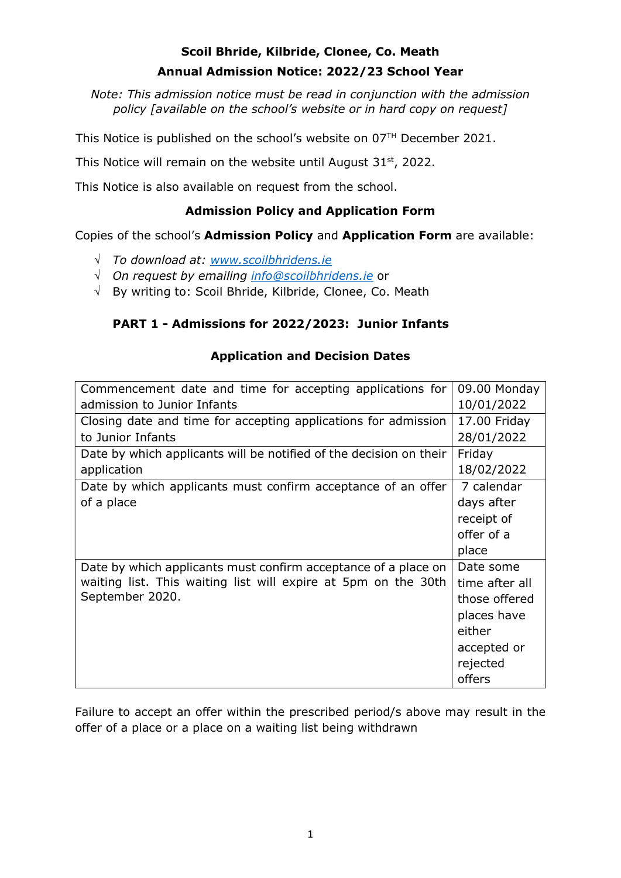# Scoil Bhride, Kilbride, Clonee, Co. Meath Annual Admission Notice: 2022/23 School Year

Note: This admission notice must be read in conjunction with the admission policy [available on the school's website or in hard copy on request]

This Notice is published on the school's website on 07TH December 2021.

This Notice will remain on the website until August  $31<sup>st</sup>$ , 2022.

This Notice is also available on request from the school.

## Admission Policy and Application Form

Copies of the school's Admission Policy and Application Form are available:

- $\sqrt{ }$  To download at: www.scoilbhridens.ie
- $\sqrt{ }$  On request by emailing info@scoilbhridens.ie or
- $\sqrt{ }$  By writing to: Scoil Bhride, Kilbride, Clonee, Co. Meath

### PART 1 - Admissions for 2022/2023: Junior Infants

### Application and Decision Dates

| Commencement date and time for accepting applications for          | 09.00 Monday   |
|--------------------------------------------------------------------|----------------|
| admission to Junior Infants                                        | 10/01/2022     |
| Closing date and time for accepting applications for admission     | 17.00 Friday   |
| to Junior Infants                                                  | 28/01/2022     |
| Date by which applicants will be notified of the decision on their | Friday         |
| application                                                        | 18/02/2022     |
| Date by which applicants must confirm acceptance of an offer       | 7 calendar     |
| of a place                                                         | days after     |
|                                                                    | receipt of     |
|                                                                    | offer of a     |
|                                                                    | place          |
| Date by which applicants must confirm acceptance of a place on     | Date some      |
| waiting list. This waiting list will expire at 5pm on the 30th     | time after all |
| September 2020.                                                    | those offered  |
|                                                                    | places have    |
|                                                                    | either         |
|                                                                    | accepted or    |
|                                                                    | rejected       |
|                                                                    | offers         |

Failure to accept an offer within the prescribed period/s above may result in the offer of a place or a place on a waiting list being withdrawn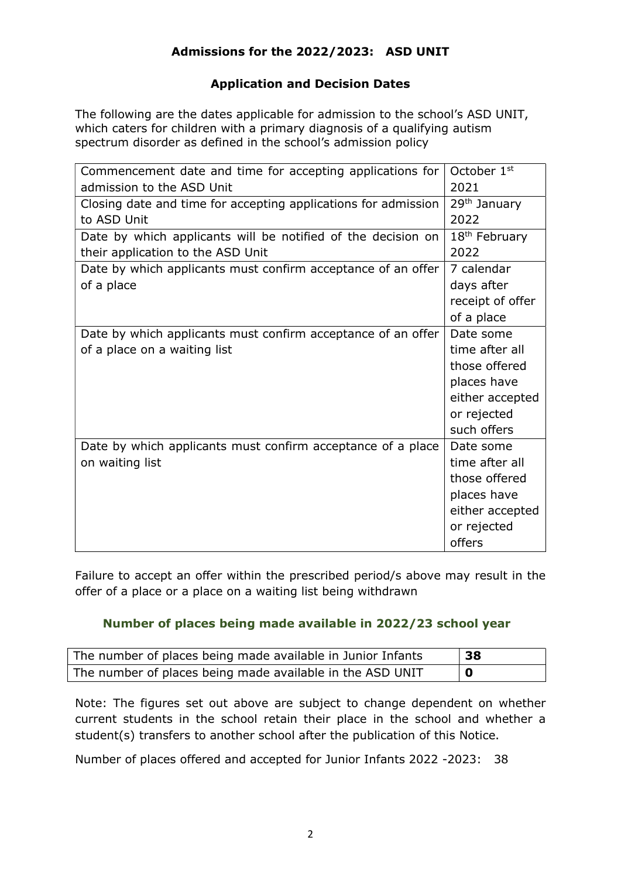## Admissions for the 2022/2023: ASD UNIT

#### Application and Decision Dates

The following are the dates applicable for admission to the school's ASD UNIT, which caters for children with a primary diagnosis of a qualifying autism spectrum disorder as defined in the school's admission policy

| Commencement date and time for accepting applications for      | October 1 <sup>st</sup>   |
|----------------------------------------------------------------|---------------------------|
| admission to the ASD Unit                                      | 2021                      |
| Closing date and time for accepting applications for admission | 29 <sup>th</sup> January  |
| to ASD Unit                                                    | 2022                      |
| Date by which applicants will be notified of the decision on   | 18 <sup>th</sup> February |
| their application to the ASD Unit                              | 2022                      |
| Date by which applicants must confirm acceptance of an offer   | 7 calendar                |
| of a place                                                     | days after                |
|                                                                | receipt of offer          |
|                                                                | of a place                |
| Date by which applicants must confirm acceptance of an offer   | Date some                 |
| of a place on a waiting list                                   | time after all            |
|                                                                | those offered             |
|                                                                | places have               |
|                                                                | either accepted           |
|                                                                | or rejected               |
|                                                                | such offers               |
| Date by which applicants must confirm acceptance of a place    | Date some                 |
| on waiting list                                                | time after all            |
|                                                                | those offered             |
|                                                                | places have               |
|                                                                | either accepted           |
|                                                                | or rejected               |
|                                                                | offers                    |

Failure to accept an offer within the prescribed period/s above may result in the offer of a place or a place on a waiting list being withdrawn

#### Number of places being made available in 2022/23 school year

| The number of places being made available in Junior Infants | 38 |
|-------------------------------------------------------------|----|
| The number of places being made available in the ASD UNIT   | 0  |

Note: The figures set out above are subject to change dependent on whether current students in the school retain their place in the school and whether a student(s) transfers to another school after the publication of this Notice.

Number of places offered and accepted for Junior Infants 2022 -2023: 38